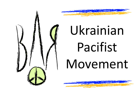## Ukrainian Pacifist Movement

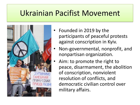## Ukrainian Pacifist Movement



- Founded in 2019 by the participants of peaceful protests against conscription in Kyiv.
- Non-governmental, nonprofit, and nonpartisan organization.
- Aim: to promote the right to peace, disarmament, the abolition of conscription, nonviolent resolution of conflicts, and democratic civilian control over military affairs.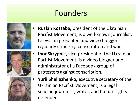## Founders







- **Ruslan Kotsaba,** president of the Ukrainian Pacifist Movement, is a well-known journalist, television presenter, and video blogger regularly criticizing conscription and war.
- **Ihor Skrypnik, vice-president of the Ukrainian** Pacifist Movement, is a video blogger and administrator of a Facebook group of protesters against conscription.
- **Yurii Sheliazhenko,** executive secretary of the Ukrainian Pacifist Movement, is a legal scholar, journalist, writer, and human rights defender.